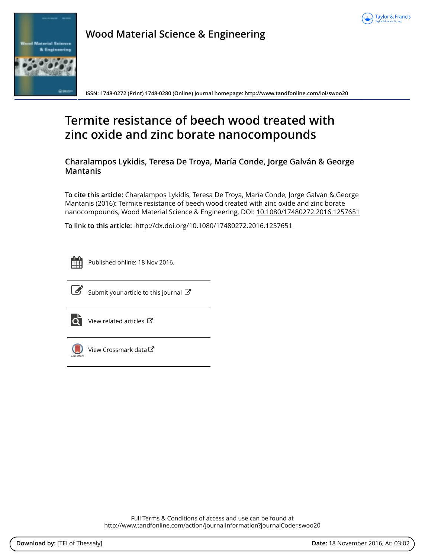



**Wood Material Science & Engineering**

**ISSN: 1748-0272 (Print) 1748-0280 (Online) Journal homepage:<http://www.tandfonline.com/loi/swoo20>**

# **Termite resistance of beech wood treated with zinc oxide and zinc borate nanocompounds**

**Charalampos Lykidis, Teresa De Troya, María Conde, Jorge Galván & George Mantanis**

**To cite this article:** Charalampos Lykidis, Teresa De Troya, María Conde, Jorge Galván & George Mantanis (2016): Termite resistance of beech wood treated with zinc oxide and zinc borate nanocompounds, Wood Material Science & Engineering, DOI: [10.1080/17480272.2016.1257651](http://www.tandfonline.com/action/showCitFormats?doi=10.1080/17480272.2016.1257651)

**To link to this article:** <http://dx.doi.org/10.1080/17480272.2016.1257651>



Published online: 18 Nov 2016.



 $\overrightarrow{S}$  [Submit your article to this journal](http://www.tandfonline.com/action/authorSubmission?journalCode=swoo20&show=instructions)  $\overrightarrow{S}$ 



 $\overrightarrow{Q}$  [View related articles](http://www.tandfonline.com/doi/mlt/10.1080/17480272.2016.1257651)  $\overrightarrow{C}$ 



 $\Box$  [View Crossmark data](http://crossmark.crossref.org/dialog/?doi=10.1080/17480272.2016.1257651&domain=pdf&date_stamp=2016-11-18)  $\Box$ 

Full Terms & Conditions of access and use can be found at <http://www.tandfonline.com/action/journalInformation?journalCode=swoo20>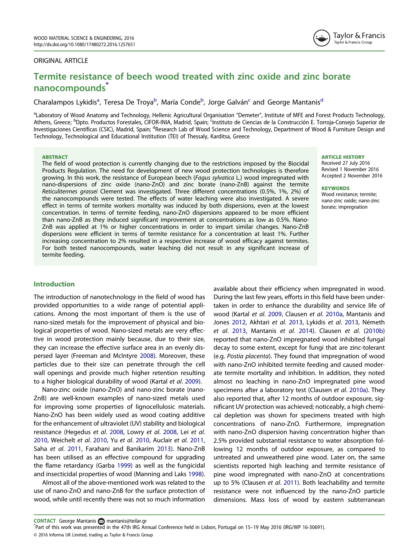### <span id="page-1-0"></span>ORIGINAL ARTICLE

# Termite resistance of beech wood treated with zinc oxide and zinc borate nanocompounds\*

# Charalampos Lykidis<sup>a</sup>, Teresa De Troya<sup>b</sup>, María Conde<sup>b</sup>, Jorge Galván<sup>c</sup> and George Mantanis<sup>d</sup>

<sup>a</sup>Laboratory of Wood Anatomy and Technology, Hellenic Agricultural Organisation "Demeter", Institute of MFE and Forest Products Technology, Athens, Greece; <sup>b</sup>Dpto. Productos Forestales, CIFOR-INIA, Madrid, Spain; <sup>c</sup>Instituto de Ciencias de la Construcción E. Torroja-Consejo Superior de Investigaciones Científicas (CSIC), Madrid, Spain; <sup>d</sup>Research Lab of Wood Science and Technology, Department of Wood & Furniture Design and Technology, Technological and Educational Institution (TEI) of Thessaly, Karditsa, Greece

#### **ABSTRACT**

The field of wood protection is currently changing due to the restrictions imposed by the Biocidal Products Regulation. The need for development of new wood protection technologies is therefore growing. In this work, the resistance of European beech (Fagus sylvatica L.) wood impregnated with nano-dispersions of zinc oxide (nano-ZnO) and zinc borate (nano-ZnB) against the termite Reticulitermes grassei Clement was investigated. Three different concentrations (0.5%, 1%, 2%) of the nanocompounds were tested. The effects of water leaching were also investigated. A severe effect in terms of termite workers mortality was induced by both dispersions, even at the lowest concentration. In terms of termite feeding, nano-ZnO dispersions appeared to be more efficient than nano-ZnB as they induced significant improvement at concentrations as low as 0.5%. Nano-ZnB was applied at 1% or higher concentrations in order to impart similar changes. Nano-ZnB dispersions were efficient in terms of termite resistance for a concentration at least 1%. Further increasing concentration to 2% resulted in a respective increase of wood efficacy against termites. For both tested nanocompounds, water leaching did not result in any significant increase of termite feeding.

#### ARTICLE HISTORY

Received 27 July 2016 Revised 1 November 2016 Accepted 2 November 2016

#### **KEYWORDS**

Wood resistance; termite; nano-zinc oxide; nano-zinc borate; impregnation

## Introduction

The introduction of nanotechnology in the field of wood has provided opportunities to a wide range of potential applications. Among the most important of them is the use of nano-sized metals for the improvement of physical and biological properties of wood. Nano-sized metals are very effective in wood protection mainly because, due to their size, they can increase the effective surface area in an evenly dispersed layer (Freeman and McIntyre [2008](#page-5-0)). Moreover, these particles due to their size can penetrate through the cell wall openings and provide much higher retention resulting to a higher biological durability of wood (Kartal et al. [2009](#page-5-0)).

Nano-zinc oxide (nano-ZnO) and nano-zinc borate (nano-ZnB) are well-known examples of nano-sized metals used for improving some properties of lignocellulosic materials. Nano-ZnO has been widely used as wood coating additive for the enhancement of ultraviolet (UV) stability and biological resistance (Hegedus et al. [2008](#page-5-0), Lowry et al. [2008](#page-5-0), Lei et al. [2010](#page-5-0), Weichelt et al. [2010](#page-5-0), Yu et al. [2010](#page-5-0), Auclair et al. [2011,](#page-5-0) Saha et al. [2011,](#page-5-0) Farahani and Banikarim [2013\)](#page-5-0). Nano-ZnB has been utilised as an effective compound for upgrading the flame retardancy (Garba [1999\)](#page-5-0) as well as the fungicidal and insecticidal properties of wood (Manning and Laks [1998](#page-5-0)).

Almost all of the above-mentioned work was related to the use of nano-ZnO and nano-ZnB for the surface protection of wood, while until recently there was not so much information available about their efficiency when impregnated in wood. During the last few years, efforts in this field have been undertaken in order to enhance the durability and service life of wood (Kartal et al. [2009,](#page-5-0) Clausen et al. [2010a](#page-5-0), Mantanis and Jones [2012](#page-5-0), Akhtari et al. [2013](#page-5-0), Lykidis et al. [2013,](#page-5-0) Németh et al. [2013,](#page-5-0) Mantanis et al. [2014](#page-5-0)). Clausen et al. ([2010b\)](#page-5-0) reported that nano-ZnO impregnated wood inhibited fungal decay to some extent, except for fungi that are zinc-tolerant (e.g. Postia placenta). They found that impregnation of wood with nano-ZnO inhibited termite feeding and caused moderate termite mortality and inhibition. In addition, they noted almost no leaching in nano-ZnO impregnated pine wood specimens after a laboratory test (Clausen et al. [2010a\)](#page-5-0). They also reported that, after 12 months of outdoor exposure, significant UV protection was achieved; noticeably, a high chemical depletion was shown for specimens treated with high concentrations of nano-ZnO. Furthermore, impregnation with nano-ZnO dispersion having concentration higher than 2.5% provided substantial resistance to water absorption following 12 months of outdoor exposure, as compared to untreated and unweathered pine wood. Later on, the same scientists reported high leaching and termite resistance of pine wood impregnated with nano-ZnO at concentrations up to 5% (Clausen et al. [2011\)](#page-5-0). Both leachability and termite resistance were not influenced by the nano-ZnO particle dimensions. Mass loss of wood by eastern subterranean

Part of this work was presented in the 47th IRG Annual Conference held in Lisbon, Portugal on 15–19 May 2016 (IRG/WP 16-30691).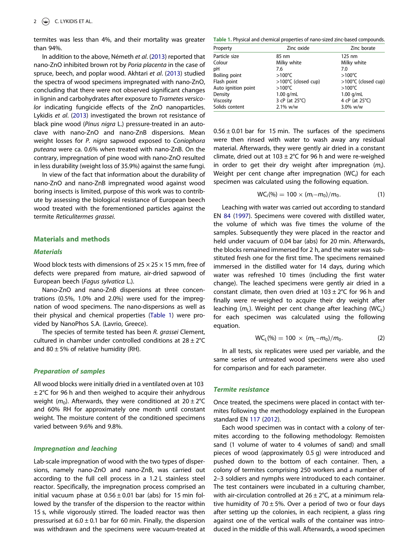<span id="page-2-0"></span>termites was less than 4%, and their mortality was greater than 94%.

In addition to the above, Németh et al. ([2013](#page-5-0)) reported that nano-ZnO inhibited brown rot by Poria placenta in the case of spruce, beech, and poplar wood. Akhtari et al. [\(2013\)](#page-5-0) studied the spectra of wood specimens impregnated with nano-ZnO, concluding that there were not observed significant changes in lignin and carbohydrates after exposure to Trametes versicolor indicating fungicide effects of the ZnO nanoparticles. Lykidis et al. ([2013\)](#page-5-0) investigated the brown rot resistance of black pine wood (Pinus nigra L.) pressure-treated in an autoclave with nano-ZnO and nano-ZnB dispersions. Mean weight losses for P. nigra sapwood exposed to Coniophora puteana were ca. 0.6% when treated with nano-ZnB. On the contrary, impregnation of pine wood with nano-ZnO resulted in less durability (weight loss of 35.9%) against the same fungi.

In view of the fact that information about the durability of nano-ZnO and nano-ZnB impregnated wood against wood boring insects is limited, purpose of this work was to contribute by assessing the biological resistance of European beech wood treated with the forementioned particles against the termite Reticulitermes grassei.

#### Materials and methods

#### **Materials**

Wood block tests with dimensions of  $25 \times 25 \times 15$  mm, free of defects were prepared from mature, air-dried sapwood of European beech (Fagus sylvatica L.).

Nano-ZnO and nano-ZnB dispersions at three concentrations (0.5%, 1.0% and 2.0%) were used for the impregnation of wood specimens. The nano-dispersions as well as their physical and chemical properties (Table 1) were provided by NanoPhos S.A. (Lavrio, Greece).

The species of termite tested has been R. grassei Clement, cultured in chamber under controlled conditions at  $28 \pm 2^{\circ}$ C and 80  $\pm$  5% of relative humidity (RH).

#### Preparation of samples

All wood blocks were initially dried in a ventilated oven at 103  $\pm$  2°C for 96 h and then weighed to acquire their anhydrous weight ( $m_0$ ). Afterwards, they were conditioned at  $20 \pm 2^{\circ}C$ and 60% RH for approximately one month until constant weight. The moisture content of the conditioned specimens varied between 9.6% and 9.8%.

# Impregnation and leaching

Lab-scale impregnation of wood with the two types of dispersions, namely nano-ZnO and nano-ZnB, was carried out according to the full cell process in a 1.2 L stainless steel reactor. Specifically, the impregnation process comprised an initial vacuum phase at  $0.56 \pm 0.01$  bar (abs) for 15 min followed by the transfer of the dispersion to the reactor within 15 s, while vigorously stirred. The loaded reactor was then pressurised at  $6.0 \pm 0.1$  bar for 60 min. Finally, the dispersion was withdrawn and the specimens were vacuum-treated at

Table 1. Physical and chemical properties of nano-sized zinc-based compounds.

| Property             | Zinc oxide               | Zinc borate              |  |
|----------------------|--------------------------|--------------------------|--|
| Particle size        | 85 nm                    | 125 nm                   |  |
| Colour               | Milky white              | Milky white              |  |
| pН                   | 7.6                      | 7.0                      |  |
| <b>Boiling point</b> | $>100^{\circ}$ C         | $>100^{\circ}$ C         |  |
| Flash point          | >100°C (closed cup)      | >100°C (closed cup)      |  |
| Auto ignition point  | $>100^{\circ}$ C         | $>100^{\circ}$ C         |  |
| Density              | $1.00$ g/mL              | $1.00$ g/mL              |  |
| Viscosity            | 3 cP (at $25^{\circ}$ C) | 4 cP (at $25^{\circ}$ C) |  |
| Solids content       | 2.1% w/w                 | 3.0% w/w                 |  |

 $0.56 \pm 0.01$  bar for 15 min. The surfaces of the specimens were then rinsed with water to wash away any residual material. Afterwards, they were gently air dried in a constant climate, dried out at  $103 \pm 2^{\circ}$ C for 96 h and were re-weighed in order to get their dry weight after impregnation  $(m_i)$ . Weight per cent change after impregnation  $(WC_{i})$  for each specimen was calculated using the following equation.

$$
WC_i(\%) = 100 \times (m_i - m_0)/m_0.
$$
 (1)

Leaching with water was carried out according to standard EN [84](#page-5-0) [\(1997\)](#page-5-0). Specimens were covered with distilled water, the volume of which was five times the volume of the samples. Subsequently they were placed in the reactor and held under vacuum of 0.04 bar (abs) for 20 min. Afterwards, the blocks remained immersed for 2 h, and the water was substituted fresh one for the first time. The specimens remained immersed in the distilled water for 14 days, during which water was refreshed 10 times (including the first water change). The leached specimens were gently air dried in a constant climate, then oven dried at  $103 \pm 2^{\circ}$ C for 96 h and finally were re-weighed to acquire their dry weight after leaching  $(m_l)$ . Weight per cent change after leaching (WC<sub>L</sub>) for each specimen was calculated using the following equation.

$$
WC_{L}(%) = 100 \times (m_{L} - m_{0})/m_{0}. \qquad (2)
$$

In all tests, six replicates were used per variable, and the same series of untreated wood specimens were also used for comparison and for each parameter.

#### Termite resistance

Once treated, the specimens were placed in contact with termites following the methodology explained in the European standard EN [117](#page-5-0) [\(2012\)](#page-5-0).

Each wood specimen was in contact with a colony of termites according to the following methodology: Remoisten sand (1 volume of water to 4 volumes of sand) and small pieces of wood (approximately 0.5 g) were introduced and pushed down to the bottom of each container. Then, a colony of termites comprising 250 workers and a number of 2–3 soldiers and nymphs were introduced to each container. The test containers were incubated in a culturing chamber, with air-circulation controlled at  $26 \pm 2^{\circ}$ C, at a minimum relative humidity of 70  $\pm$  5%. Over a period of two or four days after setting up the colonies, in each recipient, a glass ring against one of the vertical walls of the container was introduced in the middle of this wall. Afterwards, a wood specimen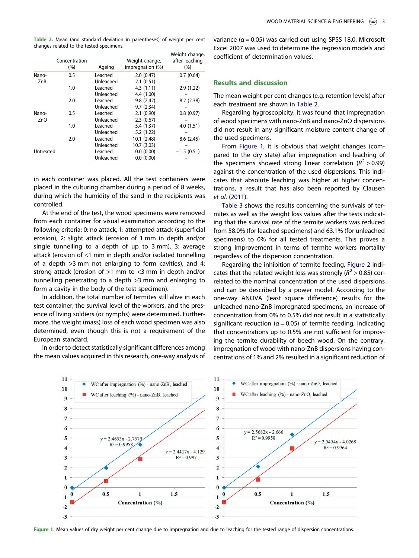<span id="page-3-0"></span>Table 2. Mean (and standard deviation in parentheses) of weight per cent changes related to the tested specimens.

|           | Concentration<br>(%) | Ageing    | Weight change,<br>impregnation (%) | Weight change,<br>after leaching<br>(%) |
|-----------|----------------------|-----------|------------------------------------|-----------------------------------------|
| Nano-     | 0.5                  | Leached   | 2.0(0.47)                          | 0.7(0.64)                               |
| ZnB       |                      | Unleached | 2.1(0.51)                          |                                         |
|           | 1.0                  | Leached   | 4.3(1.11)                          | 2.9(1.22)                               |
|           |                      | Unleached | 4.4 (1.00)                         |                                         |
|           | 2.0                  | Leached   | 9.8(2.42)                          | 8.2(2.38)                               |
|           |                      | Unleached | 9.7(2.34)                          |                                         |
| Nano-     | 0.5                  | Leached   | 2.1(0.90)                          | 0.8(0.97)                               |
| ZnO       |                      | Unleached | 2.3(0.67)                          |                                         |
|           | 1.0                  | Leached   | 5.4 (1.37)                         | 4.0(1.51)                               |
|           |                      | Unleached | 5.2(1.22)                          |                                         |
|           | 2.0                  | Leached   | 10.1 (2.48)                        | 8.6(2.45)                               |
|           |                      | Unleached | 10.7(3.03)                         |                                         |
| Untreated |                      | Leached   | 0.0(0.00)                          | $-1.5(0.51)$                            |
|           |                      | Unleached | 0.0(0.00)                          |                                         |

in each container was placed. All the test containers were placed in the culturing chamber during a period of 8 weeks, during which the humidity of the sand in the recipients was controlled.

At the end of the test, the wood specimens were removed from each container for visual examination according to the following criteria: 0: no attack, 1: attempted attack (superficial erosion), 2: slight attack (erosion of 1 mm in depth and/or single tunnelling to a depth of up to 3 mm), 3: average attack (erosion of <1 mm in depth and/or isolated tunnelling of a depth >3 mm not enlarging to form cavities), and 4: strong attack (erosion of >1 mm to <3 mm in depth and/or tunnelling penetrating to a depth >3 mm and enlarging to form a cavity in the body of the test specimen).

In addition, the total number of termites still alive in each test container, the survival level of the workers, and the presence of living soldiers (or nymphs) were determined. Furthermore, the weight (mass) loss of each wood specimen was also determined, even though this is not a requirement of the European standard.

In order to detect statistically significant differences among the mean values acquired in this research, one-way analysis of variance ( $\alpha$  = 0.05) was carried out using SPSS 18.0. Microsoft Excel 2007 was used to determine the regression models and coefficient of determination values.

# Results and discussion

The mean weight per cent changes (e.g. retention levels) after each treatment are shown in Table 2.

Regarding hygroscopicity, it was found that impregnation of wood specimens with nano-ZnB and nano-ZnO dispersions did not result in any significant moisture content change of the used specimens.

From Figure 1, it is obvious that weight changes (compared to the dry state) after impregnation and leaching of the specimens showed strong linear correlation ( $R^2 > 0.99$ ) against the concentration of the used dispersions. This indicates that absolute leaching was higher at higher concentrations, a result that has also been reported by Clausen et al. [\(2011\)](#page-5-0).

[Table 3](#page-4-0) shows the results concerning the survivals of termites as well as the weight loss values after the tests indicating that the survival rate of the termite workers was reduced from 58.0% (for leached specimens) and 63.1% (for unleached specimens) to 0% for all tested treatments. This proves a strong improvement in terms of termite workers mortality regardless of the dispersion concentration.

Regarding the inhibition of termite feeding, [Figure 2](#page-4-0) indicates that the related weight loss was strongly ( $R^2 > 0.85$ ) correlated to the nominal concentration of the used dispersions and can be described by a power model. According to the one-way ANOVA (least square difference) results for the unleached nano-ZnB impregnated specimens, an increase of concentration from 0% to 0.5% did not result in a statistically significant reduction ( $a = 0.05$ ) of termite feeding, indicating that concentrations up to 0.5% are not sufficient for improving the termite durability of beech wood. On the contrary, impregnation of wood with nano-ZnB dispersions having concentrations of 1% and 2% resulted in a significant reduction of



Figure 1. Mean values of dry weight per cent change due to impregnation and due to leaching for the tested range of dispersion concentrations.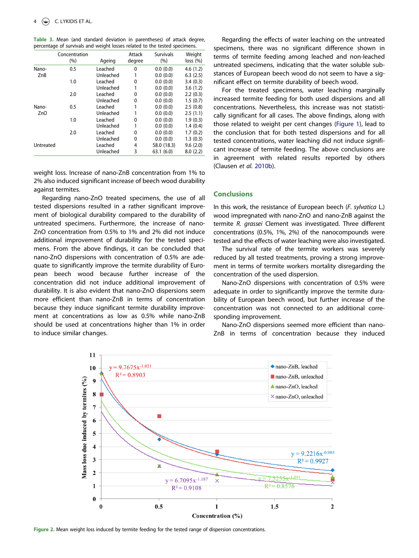| J                |                      |           |                  |                          |                    |
|------------------|----------------------|-----------|------------------|--------------------------|--------------------|
|                  | Concentration<br>(%) | Ageing    | Attack<br>degree | <b>Survivals</b><br>(% ) | Weight<br>loss (%) |
|                  |                      |           |                  |                          |                    |
| Nano-            | 0.5                  | Leached   | 0                | 0.0(0.0)                 | 4.6(1.2)           |
| ZnB              |                      | Unleached |                  | 0.0(0.0)                 | 6.3(2.5)           |
|                  | 1.0                  | Leached   | 0                | 0.0(0.0)                 | 3.4(0.3)           |
|                  |                      | Unleached | 1                | 0.0(0.0)                 | 3.6(1.2)           |
|                  | 2.0                  | Leached   | 0                | 0.0(0.0)                 | 2.2(0.3)           |
|                  |                      | Unleached | 0                | 0.0(0.0)                 | 1.5(0.7)           |
| Nano-            | 0.5                  | Leached   | 1                | 0.0(0.0)                 | 2.5(0.8)           |
| Z <sub>n</sub> O |                      | Unleached | 1                | 0.0(0.0)                 | 2.5(1.1)           |
|                  | 1.0                  | Leached   | 0                | 0.0(0.0)                 | 1.9(0.3)           |
|                  |                      | Unleached | 1                | 0.0(0.0)                 | 1.4(0.4)           |
|                  | 2.0                  | Leached   | 0                | 0.0(0.0)                 | 1.7(0.2)           |
|                  |                      | Unleached | 0                | 0.0(0.0)                 | 1.3(0.3)           |
| Untreated        |                      | Leached   | 4                | 58.0 (18.3)              | 9.6(2.0)           |
|                  |                      | Unleached | 3                | 63.1(6.0)                | 8.0(2.2)           |
|                  |                      |           |                  |                          |                    |

<span id="page-4-0"></span>Table 3. Mean (and standard deviation in parentheses) of attack degree, percentage of survivals and weight losses related to the tested specimens.

weight loss. Increase of nano-ZnB concentration from 1% to 2% also induced significant increase of beech wood durability against termites.

Regarding nano-ZnO treated specimens, the use of all tested dispersions resulted in a rather significant improvement of biological durability compared to the durability of untreated specimens. Furthermore, the increase of nano-ZnO concentration from 0.5% to 1% and 2% did not induce additional improvement of durability for the tested specimens. From the above findings, it can be concluded that nano-ZnO dispersions with concentration of 0.5% are adequate to significantly improve the termite durability of European beech wood because further increase of the concentration did not induce additional improvement of durability. It is also evident that nano-ZnO dispersions seem more efficient than nano-ZnB in terms of concentration because they induce significant termite durability improvement at concentrations as low as 0.5% while nano-ZnB should be used at concentrations higher than 1% in order to induce similar changes.

Regarding the effects of water leaching on the untreated specimens, there was no significant difference shown in terms of termite feeding among leached and non-leached untreated specimens, indicating that the water soluble substances of European beech wood do not seem to have a significant effect on termite durability of beech wood.

For the treated specimens, water leaching marginally increased termite feeding for both used dispersions and all concentrations. Nevertheless, this increase was not statistically significant for all cases. The above findings, along with those related to weight per cent changes [\(Figure 1](#page-3-0)), lead to the conclusion that for both tested dispersions and for all tested concentrations, water leaching did not induce significant increase of termite feeding. The above conclusions are in agreement with related results reported by others (Clausen et al. [2010b](#page-5-0)).

# Conclusions

In this work, the resistance of European beech (F. sylvatica L.) wood impregnated with nano-ZnO and nano-ZnB against the termite R. grassei Clement was investigated. Three different concentrations (0.5%, 1%, 2%) of the nanocompounds were tested and the effects of water leaching were also investigated.

The survival rate of the termite workers was severely reduced by all tested treatments, proving a strong improvement in terms of termite workers mortality disregarding the concentration of the used dispersion.

Nano-ZnO dispersions with concentration of 0.5% were adequate in order to significantly improve the termite durability of European beech wood, but further increase of the concentration was not connected to an additional corresponding improvement.

Nano-ZnO dispersions seemed more efficient than nano-ZnB in terms of concentration because they induced



Figure 2. Mean weight loss induced by termite feeding for the tested range of dispersion concentrations.